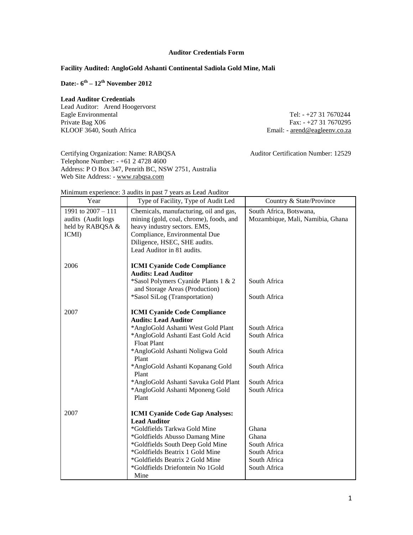## **Auditor Credentials Form**

# **Facility Audited: AngloGold Ashanti Continental Sadiola Gold Mine, Mali**

**Date:- 6 th – 12th November 2012**

#### **Lead Auditor Credentials**

Lead Auditor: Arend Hoogervorst Eagle Environmental Tel: - +27 31 7670244<br>Private Bag X06 Fax: - +27 31 7670295 Private Bag X06 Fax: - +27 31 7670295<br>KLOOF 3640, South Africa Email: - <u>arend@eagleenv.co.za</u>

Email: - arend@eagleenv.co.za

Certifying Organization: Name: RABQSA Auditor Certification Number: 12529 Telephone Number: - +61 2 4728 4600 Address: P O Box 347, Penrith BC, NSW 2751, Australia Web Site Address: - [www.rabqsa.com](http://www.rabqsa.com/)

| Minimum experience: 3 audits in past 7 years as Lead Auditor |  |  |  |
|--------------------------------------------------------------|--|--|--|
|                                                              |  |  |  |

| Year                                                                  | Type of Facility, Type of Audit Led                                                                                                                                                                                                                                                                                                              | Country & State/Province                                                                     |
|-----------------------------------------------------------------------|--------------------------------------------------------------------------------------------------------------------------------------------------------------------------------------------------------------------------------------------------------------------------------------------------------------------------------------------------|----------------------------------------------------------------------------------------------|
| 1991 to 2007 - 111<br>audits (Audit logs<br>held by RABQSA &<br>ICMI) | Chemicals, manufacturing, oil and gas,<br>mining (gold, coal, chrome), foods, and<br>heavy industry sectors. EMS,<br>Compliance, Environmental Due<br>Diligence, HSEC, SHE audits.<br>Lead Auditor in 81 audits.                                                                                                                                 | South Africa, Botswana,<br>Mozambique, Mali, Namibia, Ghana                                  |
| 2006                                                                  | <b>ICMI Cyanide Code Compliance</b><br><b>Audits: Lead Auditor</b><br>*Sasol Polymers Cyanide Plants 1 & 2<br>and Storage Areas (Production)<br>*Sasol SiLog (Transportation)                                                                                                                                                                    | South Africa<br>South Africa                                                                 |
| 2007                                                                  | <b>ICMI Cyanide Code Compliance</b><br><b>Audits: Lead Auditor</b><br>*AngloGold Ashanti West Gold Plant<br>*AngloGold Ashanti East Gold Acid<br><b>Float Plant</b><br>*AngloGold Ashanti Noligwa Gold<br>Plant<br>*AngloGold Ashanti Kopanang Gold<br>Plant<br>*AngloGold Ashanti Savuka Gold Plant<br>*AngloGold Ashanti Mponeng Gold<br>Plant | South Africa<br>South Africa<br>South Africa<br>South Africa<br>South Africa<br>South Africa |
| 2007                                                                  | <b>ICMI Cyanide Code Gap Analyses:</b><br><b>Lead Auditor</b><br>*Goldfields Tarkwa Gold Mine<br>*Goldfields Abusso Damang Mine<br>*Goldfields South Deep Gold Mine<br>*Goldfields Beatrix 1 Gold Mine<br>*Goldfields Beatrix 2 Gold Mine<br>*Goldfields Driefontein No 1Gold<br>Mine                                                            | Ghana<br>Ghana<br>South Africa<br>South Africa<br>South Africa<br>South Africa               |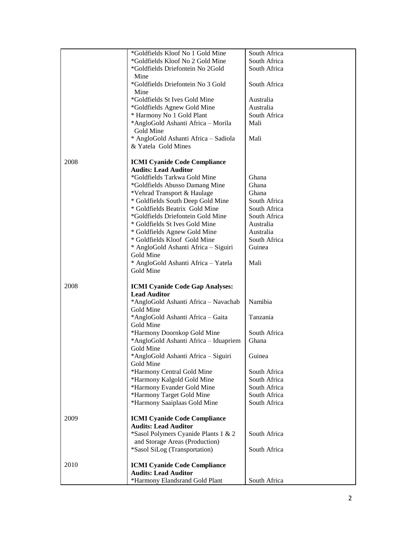|      | *Goldfields Kloof No 1 Gold Mine       | South Africa |
|------|----------------------------------------|--------------|
|      | *Goldfields Kloof No 2 Gold Mine       | South Africa |
|      | *Goldfields Driefontein No 2Gold       | South Africa |
|      | Mine                                   |              |
|      |                                        |              |
|      | *Goldfields Driefontein No 3 Gold      | South Africa |
|      | Mine                                   |              |
|      | *Goldfields St Ives Gold Mine          | Australia    |
|      | *Goldfields Agnew Gold Mine            | Australia    |
|      | * Harmony No 1 Gold Plant              | South Africa |
|      | *AngloGold Ashanti Africa - Morila     | Mali         |
|      | Gold Mine                              |              |
|      | * AngloGold Ashanti Africa - Sadiola   | Mali         |
|      | & Yatela Gold Mines                    |              |
|      |                                        |              |
|      |                                        |              |
| 2008 | <b>ICMI Cyanide Code Compliance</b>    |              |
|      | <b>Audits: Lead Auditor</b>            |              |
|      | *Goldfields Tarkwa Gold Mine           | Ghana        |
|      | *Goldfields Abusso Damang Mine         | Ghana        |
|      | *Vehrad Transport & Haulage            | Ghana        |
|      | * Goldfields South Deep Gold Mine      | South Africa |
|      | * Goldfields Beatrix Gold Mine         | South Africa |
|      | *Goldfields Driefontein Gold Mine      | South Africa |
|      |                                        |              |
|      | * Goldfields St Ives Gold Mine         | Australia    |
|      | * Goldfields Agnew Gold Mine           | Australia    |
|      | * Goldfields Kloof Gold Mine           | South Africa |
|      | * AngloGold Ashanti Africa - Siguiri   | Guinea       |
|      | Gold Mine                              |              |
|      | * AngloGold Ashanti Africa - Yatela    | Mali         |
|      | Gold Mine                              |              |
|      |                                        |              |
| 2008 | <b>ICMI Cyanide Code Gap Analyses:</b> |              |
|      | <b>Lead Auditor</b>                    |              |
|      |                                        |              |
|      | *AngloGold Ashanti Africa - Navachab   | Namibia      |
|      | Gold Mine                              |              |
|      | *AngloGold Ashanti Africa - Gaita      | Tanzania     |
|      | Gold Mine                              |              |
|      | *Harmony Doornkop Gold Mine            | South Africa |
|      | *AngloGold Ashanti Africa - Iduapriem  | Ghana        |
|      | Gold Mine                              |              |
|      | *AngloGold Ashanti Africa - Siguiri    | Guinea       |
|      | Gold Mine                              |              |
|      |                                        |              |
|      | *Harmony Central Gold Mine             | South Africa |
|      | *Harmony Kalgold Gold Mine             | South Africa |
|      | *Harmony Evander Gold Mine             | South Africa |
|      | *Harmony Target Gold Mine              | South Africa |
|      | *Harmony Saaiplaas Gold Mine           | South Africa |
|      |                                        |              |
| 2009 | <b>ICMI Cyanide Code Compliance</b>    |              |
|      | <b>Audits: Lead Auditor</b>            |              |
|      | *Sasol Polymers Cyanide Plants 1 & 2   | South Africa |
|      | and Storage Areas (Production)         |              |
|      |                                        |              |
|      | *Sasol SiLog (Transportation)          | South Africa |
|      |                                        |              |
| 2010 | <b>ICMI Cyanide Code Compliance</b>    |              |
|      | <b>Audits: Lead Auditor</b>            |              |
|      | *Harmony Elandsrand Gold Plant         | South Africa |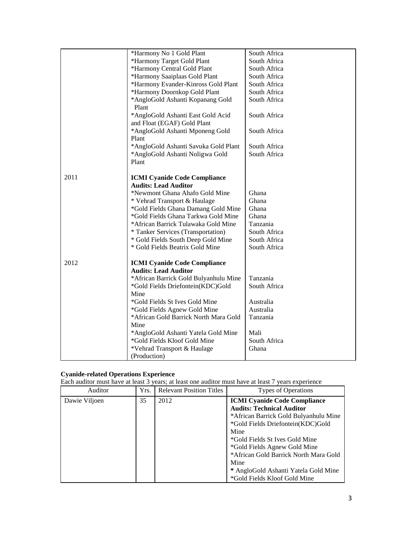|      | *Harmony No 1 Gold Plant                                         | South Africa |
|------|------------------------------------------------------------------|--------------|
|      | *Harmony Target Gold Plant                                       | South Africa |
|      | *Harmony Central Gold Plant                                      | South Africa |
|      | *Harmony Saaiplaas Gold Plant                                    | South Africa |
|      | *Harmony Evander-Kinross Gold Plant                              | South Africa |
|      | *Harmony Doornkop Gold Plant                                     | South Africa |
|      | *AngloGold Ashanti Kopanang Gold<br>Plant                        | South Africa |
|      | *AngloGold Ashanti East Gold Acid<br>and Float (EGAF) Gold Plant | South Africa |
|      | *AngloGold Ashanti Mponeng Gold<br>Plant                         | South Africa |
|      | *AngloGold Ashanti Savuka Gold Plant                             | South Africa |
|      | *AngloGold Ashanti Noligwa Gold                                  | South Africa |
|      | Plant                                                            |              |
| 2011 | <b>ICMI Cyanide Code Compliance</b>                              |              |
|      | <b>Audits: Lead Auditor</b>                                      |              |
|      | *Newmont Ghana Ahafo Gold Mine                                   | Ghana        |
|      | * Vehrad Transport & Haulage                                     | Ghana        |
|      | *Gold Fields Ghana Damang Gold Mine                              | Ghana        |
|      | *Gold Fields Ghana Tarkwa Gold Mine                              | Ghana        |
|      | *African Barrick Tulawaka Gold Mine                              | Tanzania     |
|      | * Tanker Services (Transportation)                               | South Africa |
|      | * Gold Fields South Deep Gold Mine                               | South Africa |
|      | * Gold Fields Beatrix Gold Mine                                  | South Africa |
|      |                                                                  |              |
| 2012 | <b>ICMI Cyanide Code Compliance</b>                              |              |
|      | <b>Audits: Lead Auditor</b>                                      | Tanzania     |
|      | *African Barrick Gold Bulyanhulu Mine                            |              |
|      | *Gold Fields Driefontein(KDC)Gold<br>Mine                        | South Africa |
|      | *Gold Fields St Ives Gold Mine                                   | Australia    |
|      | *Gold Fields Agnew Gold Mine                                     | Australia    |
|      | *African Gold Barrick North Mara Gold                            | Tanzania     |
|      | Mine                                                             |              |
|      | *AngloGold Ashanti Yatela Gold Mine                              | Mali         |
|      | *Gold Fields Kloof Gold Mine                                     | South Africa |
|      | *Vehrad Transport & Haulage                                      | Ghana        |
|      | (Production)                                                     |              |

### **Cyanide-related Operations Experience**

Each auditor must have at least 3 years; at least one auditor must have at least 7 years experience

| Auditor       | Yrs. | <b>Relevant Position Titles</b> | <b>Types of Operations</b>                                                                                                                                                                                                                                                                                                                               |
|---------------|------|---------------------------------|----------------------------------------------------------------------------------------------------------------------------------------------------------------------------------------------------------------------------------------------------------------------------------------------------------------------------------------------------------|
| Dawie Viljoen | 35   | 2012                            | <b>ICMI Cyanide Code Compliance</b><br><b>Audits: Technical Auditor</b><br>*African Barrick Gold Bulyanhulu Mine<br>*Gold Fields Driefontein(KDC)Gold<br>Mine<br>*Gold Fields St Ives Gold Mine<br>*Gold Fields Agnew Gold Mine<br>*African Gold Barrick North Mara Gold<br>Mine<br>* AngloGold Ashanti Yatela Gold Mine<br>*Gold Fields Kloof Gold Mine |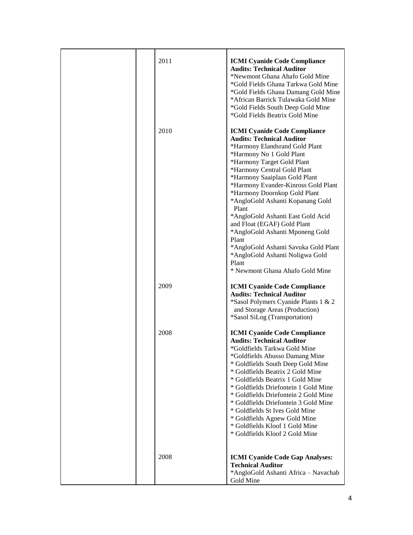| 2011 | <b>ICMI Cyanide Code Compliance</b><br><b>Audits: Technical Auditor</b><br>*Newmont Ghana Ahafo Gold Mine<br>*Gold Fields Ghana Tarkwa Gold Mine<br>*Gold Fields Ghana Damang Gold Mine<br>*African Barrick Tulawaka Gold Mine<br>*Gold Fields South Deep Gold Mine<br>*Gold Fields Beatrix Gold Mine                                                                                                                                                                                                                                                                                          |
|------|------------------------------------------------------------------------------------------------------------------------------------------------------------------------------------------------------------------------------------------------------------------------------------------------------------------------------------------------------------------------------------------------------------------------------------------------------------------------------------------------------------------------------------------------------------------------------------------------|
| 2010 | <b>ICMI Cyanide Code Compliance</b><br><b>Audits: Technical Auditor</b><br>*Harmony Elandsrand Gold Plant<br>*Harmony No 1 Gold Plant<br>*Harmony Target Gold Plant<br>*Harmony Central Gold Plant<br>*Harmony Saaiplaas Gold Plant<br>*Harmony Evander-Kinross Gold Plant<br>*Harmony Doornkop Gold Plant<br>*AngloGold Ashanti Kopanang Gold<br>Plant<br>*AngloGold Ashanti East Gold Acid<br>and Float (EGAF) Gold Plant<br>*AngloGold Ashanti Mponeng Gold<br>Plant<br>*AngloGold Ashanti Savuka Gold Plant<br>*AngloGold Ashanti Noligwa Gold<br>Plant<br>* Newmont Ghana Ahafo Gold Mine |
| 2009 | <b>ICMI Cyanide Code Compliance</b><br><b>Audits: Technical Auditor</b><br>*Sasol Polymers Cyanide Plants 1 & 2<br>and Storage Areas (Production)<br>*Sasol SiLog (Transportation)                                                                                                                                                                                                                                                                                                                                                                                                             |
| 2008 | <b>ICMI Cyanide Code Compliance</b><br><b>Audits: Technical Auditor</b><br>*Goldfields Tarkwa Gold Mine<br>*Goldfields Abusso Damang Mine<br>* Goldfields South Deep Gold Mine<br>* Goldfields Beatrix 2 Gold Mine<br>* Goldfields Beatrix 1 Gold Mine<br>* Goldfields Driefontein 1 Gold Mine<br>* Goldfields Driefontein 2 Gold Mine<br>* Goldfields Driefontein 3 Gold Mine<br>* Goldfields St Ives Gold Mine<br>* Goldfields Agnew Gold Mine<br>* Goldfields Kloof 1 Gold Mine<br>* Goldfields Kloof 2 Gold Mine                                                                           |
| 2008 | <b>ICMI Cyanide Code Gap Analyses:</b><br><b>Technical Auditor</b><br>*AngloGold Ashanti Africa - Navachab<br>Gold Mine                                                                                                                                                                                                                                                                                                                                                                                                                                                                        |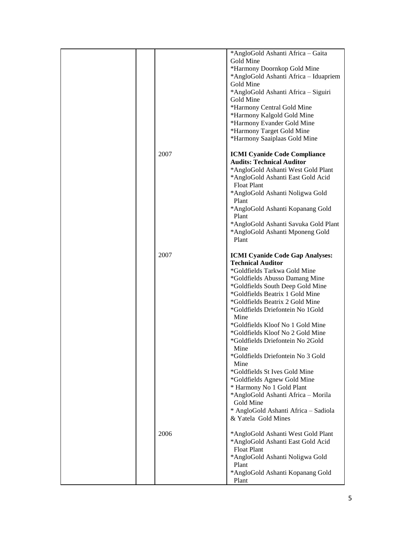|      | *AngloGold Ashanti Africa - Gaita<br>Gold Mine<br>*Harmony Doornkop Gold Mine<br>*AngloGold Ashanti Africa - Iduapriem<br>Gold Mine<br>*AngloGold Ashanti Africa - Siguiri<br>Gold Mine<br>*Harmony Central Gold Mine<br>*Harmony Kalgold Gold Mine<br>*Harmony Evander Gold Mine<br>*Harmony Target Gold Mine<br>*Harmony Saaiplaas Gold Mine                                                                                                                                                                                                                                                                                                                             |
|------|----------------------------------------------------------------------------------------------------------------------------------------------------------------------------------------------------------------------------------------------------------------------------------------------------------------------------------------------------------------------------------------------------------------------------------------------------------------------------------------------------------------------------------------------------------------------------------------------------------------------------------------------------------------------------|
| 2007 | <b>ICMI Cyanide Code Compliance</b><br><b>Audits: Technical Auditor</b><br>*AngloGold Ashanti West Gold Plant<br>*AngloGold Ashanti East Gold Acid<br><b>Float Plant</b><br>*AngloGold Ashanti Noligwa Gold<br>Plant<br>*AngloGold Ashanti Kopanang Gold<br>Plant<br>*AngloGold Ashanti Savuka Gold Plant<br>*AngloGold Ashanti Mponeng Gold<br>Plant                                                                                                                                                                                                                                                                                                                      |
| 2007 | <b>ICMI Cyanide Code Gap Analyses:</b><br><b>Technical Auditor</b><br>*Goldfields Tarkwa Gold Mine<br>*Goldfields Abusso Damang Mine<br>*Goldfields South Deep Gold Mine<br>*Goldfields Beatrix 1 Gold Mine<br>*Goldfields Beatrix 2 Gold Mine<br>*Goldfields Driefontein No 1Gold<br>Mine<br>*Goldfields Kloof No 1 Gold Mine<br>*Goldfields Kloof No 2 Gold Mine<br>*Goldfields Driefontein No 2Gold<br>Mine<br>*Goldfields Driefontein No 3 Gold<br>Mine<br>*Goldfields St Ives Gold Mine<br>*Goldfields Agnew Gold Mine<br>* Harmony No 1 Gold Plant<br>*AngloGold Ashanti Africa - Morila<br>Gold Mine<br>* AngloGold Ashanti Africa - Sadiola<br>& Yatela Gold Mines |
| 2006 | *AngloGold Ashanti West Gold Plant<br>*AngloGold Ashanti East Gold Acid<br><b>Float Plant</b><br>*AngloGold Ashanti Noligwa Gold<br>Plant<br>*AngloGold Ashanti Kopanang Gold<br>Plant                                                                                                                                                                                                                                                                                                                                                                                                                                                                                     |